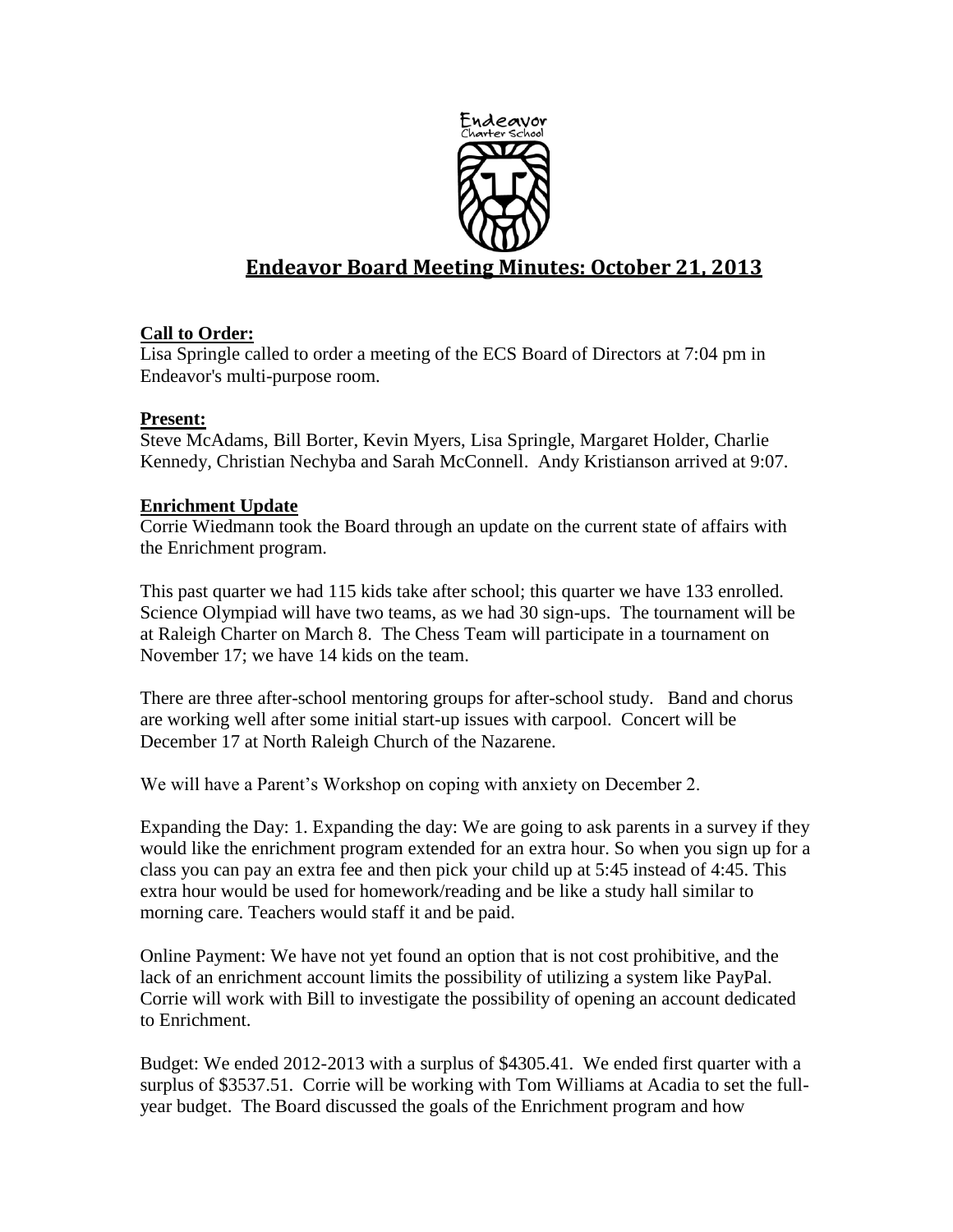

# **Endeavor Board Meeting Minutes: October 21, 2013**

# **Call to Order:**

Lisa Springle called to order a meeting of the ECS Board of Directors at 7:04 pm in Endeavor's multi-purpose room.

#### **Present:**

Steve McAdams, Bill Borter, Kevin Myers, Lisa Springle, Margaret Holder, Charlie Kennedy, Christian Nechyba and Sarah McConnell. Andy Kristianson arrived at 9:07.

## **Enrichment Update**

Corrie Wiedmann took the Board through an update on the current state of affairs with the Enrichment program.

This past quarter we had 115 kids take after school; this quarter we have 133 enrolled. Science Olympiad will have two teams, as we had 30 sign-ups. The tournament will be at Raleigh Charter on March 8. The Chess Team will participate in a tournament on November 17; we have 14 kids on the team.

There are three after-school mentoring groups for after-school study. Band and chorus are working well after some initial start-up issues with carpool. Concert will be December 17 at North Raleigh Church of the Nazarene.

We will have a Parent's Workshop on coping with anxiety on December 2.

Expanding the Day: 1. Expanding the day: We are going to ask parents in a survey if they would like the enrichment program extended for an extra hour. So when you sign up for a class you can pay an extra fee and then pick your child up at 5:45 instead of 4:45. This extra hour would be used for homework/reading and be like a study hall similar to morning care. Teachers would staff it and be paid.

Online Payment: We have not yet found an option that is not cost prohibitive, and the lack of an enrichment account limits the possibility of utilizing a system like PayPal. Corrie will work with Bill to investigate the possibility of opening an account dedicated to Enrichment.

Budget: We ended 2012-2013 with a surplus of \$4305.41. We ended first quarter with a surplus of \$3537.51. Corrie will be working with Tom Williams at Acadia to set the fullyear budget. The Board discussed the goals of the Enrichment program and how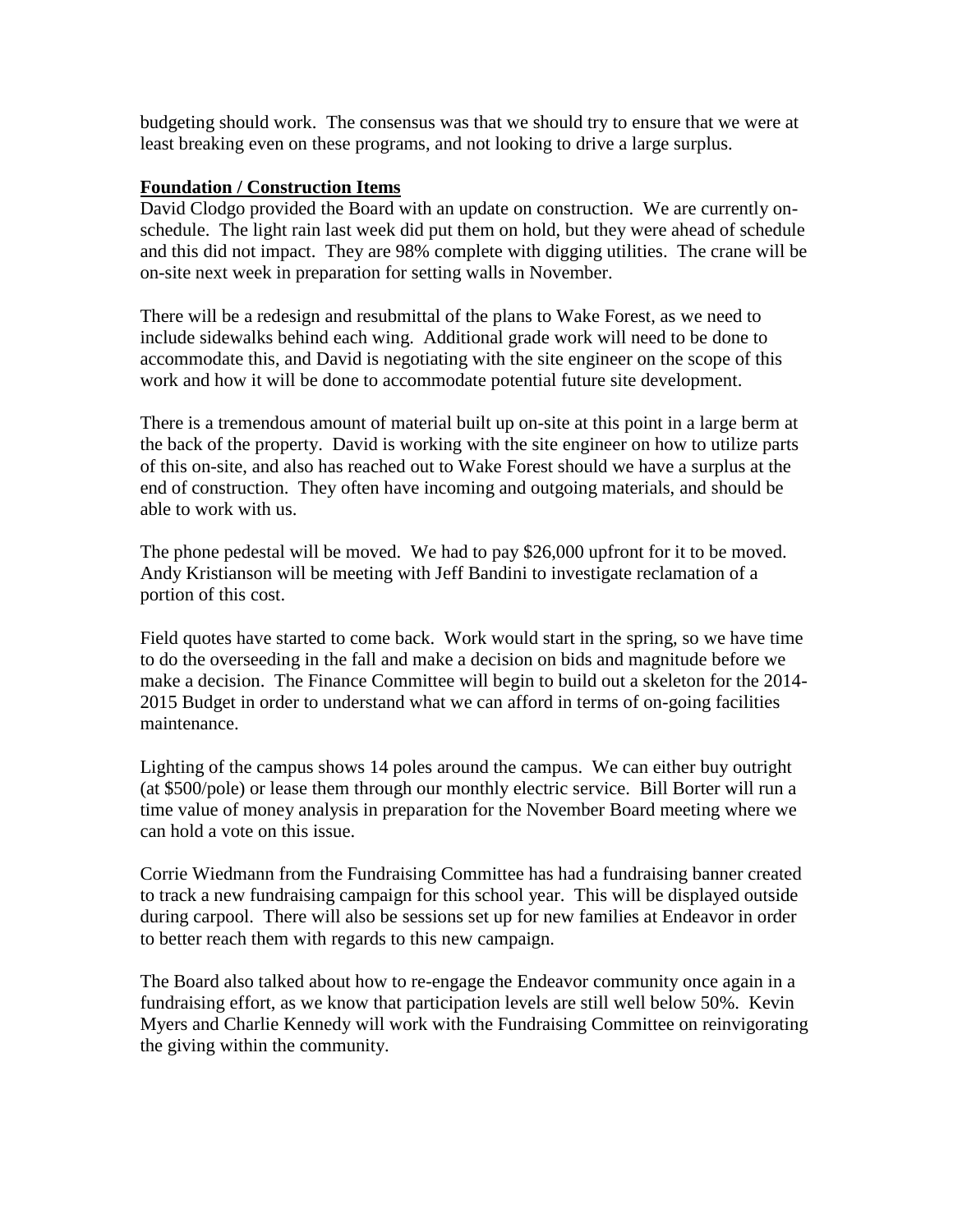budgeting should work. The consensus was that we should try to ensure that we were at least breaking even on these programs, and not looking to drive a large surplus.

#### **Foundation / Construction Items**

David Clodgo provided the Board with an update on construction. We are currently onschedule. The light rain last week did put them on hold, but they were ahead of schedule and this did not impact. They are 98% complete with digging utilities. The crane will be on-site next week in preparation for setting walls in November.

There will be a redesign and resubmittal of the plans to Wake Forest, as we need to include sidewalks behind each wing. Additional grade work will need to be done to accommodate this, and David is negotiating with the site engineer on the scope of this work and how it will be done to accommodate potential future site development.

There is a tremendous amount of material built up on-site at this point in a large berm at the back of the property. David is working with the site engineer on how to utilize parts of this on-site, and also has reached out to Wake Forest should we have a surplus at the end of construction. They often have incoming and outgoing materials, and should be able to work with us.

The phone pedestal will be moved. We had to pay \$26,000 upfront for it to be moved. Andy Kristianson will be meeting with Jeff Bandini to investigate reclamation of a portion of this cost.

Field quotes have started to come back. Work would start in the spring, so we have time to do the overseeding in the fall and make a decision on bids and magnitude before we make a decision. The Finance Committee will begin to build out a skeleton for the 2014- 2015 Budget in order to understand what we can afford in terms of on-going facilities maintenance.

Lighting of the campus shows 14 poles around the campus. We can either buy outright (at \$500/pole) or lease them through our monthly electric service. Bill Borter will run a time value of money analysis in preparation for the November Board meeting where we can hold a vote on this issue.

Corrie Wiedmann from the Fundraising Committee has had a fundraising banner created to track a new fundraising campaign for this school year. This will be displayed outside during carpool. There will also be sessions set up for new families at Endeavor in order to better reach them with regards to this new campaign.

The Board also talked about how to re-engage the Endeavor community once again in a fundraising effort, as we know that participation levels are still well below 50%. Kevin Myers and Charlie Kennedy will work with the Fundraising Committee on reinvigorating the giving within the community.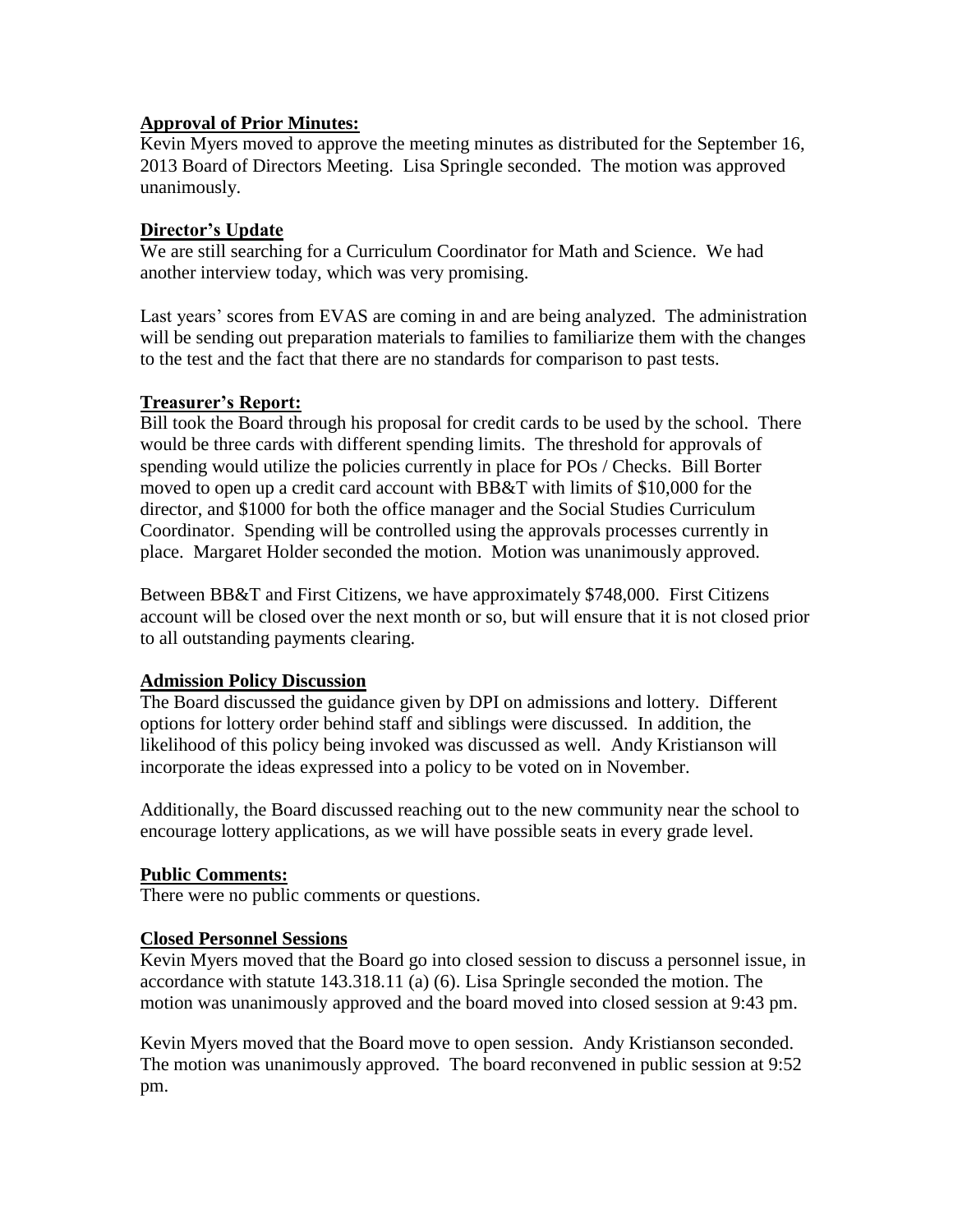## **Approval of Prior Minutes:**

Kevin Myers moved to approve the meeting minutes as distributed for the September 16, 2013 Board of Directors Meeting. Lisa Springle seconded. The motion was approved unanimously.

## **Director's Update**

We are still searching for a Curriculum Coordinator for Math and Science. We had another interview today, which was very promising.

Last years' scores from EVAS are coming in and are being analyzed. The administration will be sending out preparation materials to families to familiarize them with the changes to the test and the fact that there are no standards for comparison to past tests.

## **Treasurer's Report:**

Bill took the Board through his proposal for credit cards to be used by the school. There would be three cards with different spending limits. The threshold for approvals of spending would utilize the policies currently in place for POs / Checks. Bill Borter moved to open up a credit card account with BB&T with limits of \$10,000 for the director, and \$1000 for both the office manager and the Social Studies Curriculum Coordinator. Spending will be controlled using the approvals processes currently in place. Margaret Holder seconded the motion. Motion was unanimously approved.

Between BB&T and First Citizens, we have approximately \$748,000. First Citizens account will be closed over the next month or so, but will ensure that it is not closed prior to all outstanding payments clearing.

# **Admission Policy Discussion**

The Board discussed the guidance given by DPI on admissions and lottery. Different options for lottery order behind staff and siblings were discussed. In addition, the likelihood of this policy being invoked was discussed as well. Andy Kristianson will incorporate the ideas expressed into a policy to be voted on in November.

Additionally, the Board discussed reaching out to the new community near the school to encourage lottery applications, as we will have possible seats in every grade level.

# **Public Comments:**

There were no public comments or questions.

#### **Closed Personnel Sessions**

Kevin Myers moved that the Board go into closed session to discuss a personnel issue, in accordance with statute 143.318.11 (a) (6). Lisa Springle seconded the motion. The motion was unanimously approved and the board moved into closed session at 9:43 pm.

Kevin Myers moved that the Board move to open session. Andy Kristianson seconded. The motion was unanimously approved. The board reconvened in public session at 9:52 pm.